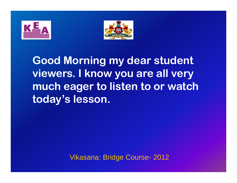



**Good Morning my dear student viewers. I know you are all very much eager to listen to or watch today s ' lesson.**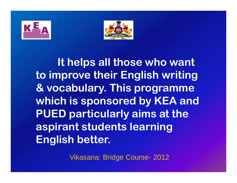



**It helps all those who want to improve their English writing & vocabulary. This programme which is sponsored by KEA and PUED particularly aims at the aspirant students learning English better.**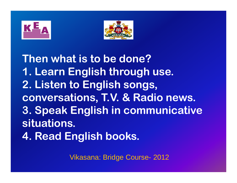



**Then what is to be done?1. Learn English through use. 2. Listen to English songs, conversations, T.V. & Radio news. 3. Speak English in communicative situations. 4. Read English books.**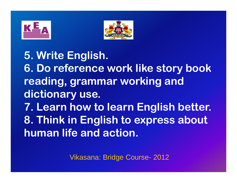



**5 Write English . . 6. Do reference work like story book reading grammar , working and dictionary use. 7. L h l li h b Learn how to learn Engli sh better. 8. Think in English to express about human life and action.**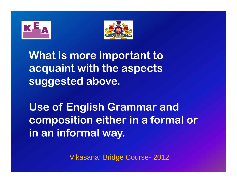



**What is more important to acquaint with the aspects suggested above .**

Use of English Grammar and **composition either in a formal or in an informal way.**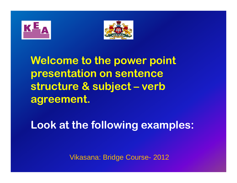



Welcome to the power point **presentation on sentence structure & subject – verb agreement.**

**Look at the following examples :**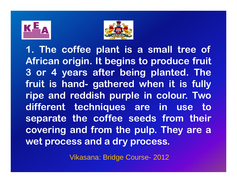



**1. The coffee plant is <sup>a</sup> small tree of African origin. I t begins to produce frui t 3 or 4 years after being planted. The frui t is hand- gathered when i t is fully ripe and reddish purple in colour. Two differen t techniques are in use to separate the coffee seeds from their covering and from the pulp. They are <sup>a</sup> wet process and <sup>a</sup> dry process.**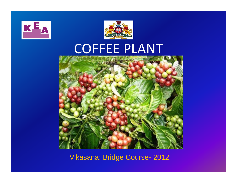



# COFFEE PLANT

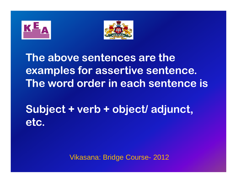![](_page_8_Figure_0.jpeg)

![](_page_8_Picture_1.jpeg)

**The above sentences are the examples for assertive sentence. Th d d i h t i e word or der n each sen tence s**

**Subject + verb + object/ adjunct, etc.**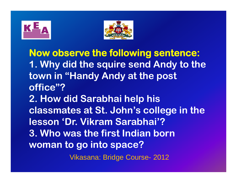![](_page_9_Picture_0.jpeg)

![](_page_9_Picture_1.jpeg)

**Now observe the followin g sentence: 1. Why did the squire send Andy to the town in "Hand yy p And y at the post office"?2. How did Sarabhai hel p his classmates at St. John's college in the lesson 'Dr. Vikram Sarabhai'?3. Who was the first Indian born woman to g p o into s pace?** Vikasana: Bridge Course- 2012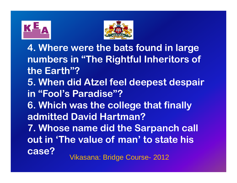![](_page_10_Picture_0.jpeg)

![](_page_10_Picture_1.jpeg)

**4. Where were the bats found in large**  numbers in "The Rightful Inheritors of **the Earth"?5 Wh did . When At l ze f l d t d i feel deepest despair in "Fool's Paradise"?6. Which was the college that finally admitted David Hartman?7. Whose name did the Sarpanch call out in 'The value of man' to state his case?**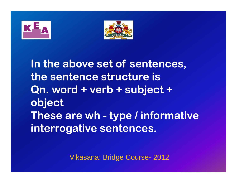![](_page_11_Figure_0.jpeg)

![](_page_11_Picture_1.jpeg)

**In the above set of sentences, the sentence structure isQn. word + verb + subject + object These are wh - type / informative i t ti t n terrogative sen tences.**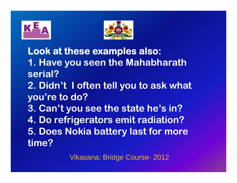![](_page_12_Picture_0.jpeg)

![](_page_12_Picture_1.jpeg)

**Look at these examples also: 1. Have you seen the Mahabharath serial?2. Didn't I often tell you to ask what you're to do? 3. Can't you see the state he's in? 4. Do refrigerators emit radiation? 5. Does Nokia battery last for more time?**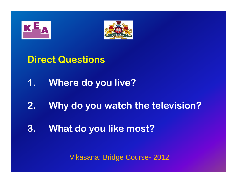![](_page_13_Figure_0.jpeg)

![](_page_13_Picture_1.jpeg)

**Direct Questions** 

- **1. Wh ere d li ? do you live?**
- **2. Wh y d t h th t l i i ? do you watch the television?**
- **3. Wh ta d lik t? do you like most?**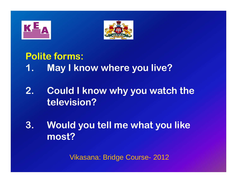![](_page_14_Picture_0.jpeg)

![](_page_14_Picture_1.jpeg)

## **Polite forms:**

- **1. May I know where you live?**
- **2. Could I know why you watch the television?**
- **3. Would you tell me what you like most?**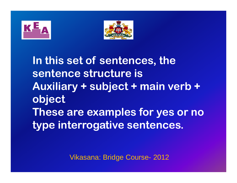![](_page_15_Figure_0.jpeg)

![](_page_15_Picture_1.jpeg)

In this set of sentences, the **sentence structure isAuxiliary + subject + main verb + object These are examples for yes or no type interrogative sentences .**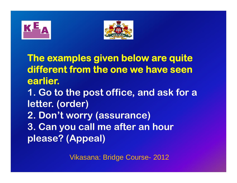![](_page_16_Figure_0.jpeg)

![](_page_16_Picture_1.jpeg)

**The examples given below are quite different from the one we have seen earlier. 1. Go to the post office, and ask for a letter (order) letter. 2. Don't worry (assurance) 3 Can you call me after an hour . please? (Appeal)**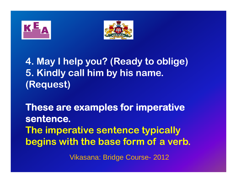![](_page_17_Picture_0.jpeg)

![](_page_17_Picture_1.jpeg)

**4. May I help you? (Ready to oblige) 5. Kindly call him by his name. (Request)**

**These are examples for imperative sentence. The imperative sentence typically begins with the base form of a verb.**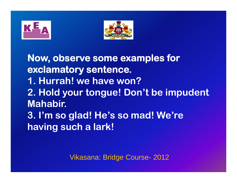![](_page_18_Figure_0.jpeg)

![](_page_18_Picture_1.jpeg)

**Now observe some examples for , exclamatory sentence. 1 Hurrah! we have won?. 2. Hold your tongue! Don't be impudent Mahabir. 3. I'm so glad! He's so mad! We're having such a lark!**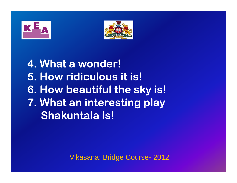![](_page_19_Picture_0.jpeg)

![](_page_19_Picture_1.jpeg)

**4. What a wonder! 5. How ridiculous it is! 6. How beautiful the sky is! 7 What an interesting play . Shakuntala is!**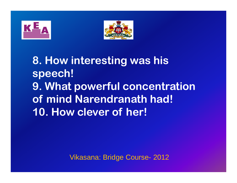![](_page_20_Figure_0.jpeg)

![](_page_20_Picture_1.jpeg)

**8. How interesting was his speech! 9. What powerful concentration of mind Narendranath had! 10. How clever of her!**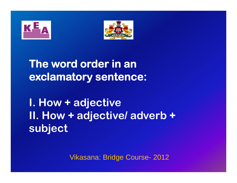![](_page_21_Figure_0.jpeg)

![](_page_21_Picture_1.jpeg)

**The word order in an exclamatory sentence:** 

**I How + adjective . II. How + adjective/ adverb + subj t ec**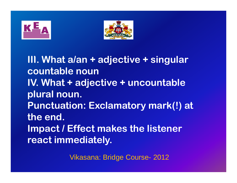![](_page_22_Figure_0.jpeg)

![](_page_22_Picture_1.jpeg)

**III Wh t / dj ti i l . at a /an + adjective + singular countable nounlV. What + adjective + uncountable plural noun. P t ti E l t k(!) t Punc tuation: Exclama tory mark(!) at the end. lmpact / Effect makes the listener react immediately.**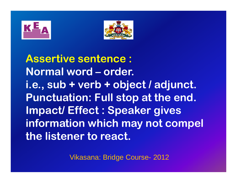![](_page_23_Figure_0.jpeg)

![](_page_23_Picture_1.jpeg)

**Assertive sentence : Normal word – order. i.e., sub + verb + object / adjunct. Punctuation: Full sto p at the end. Impact/ Effect : Speaker gives information which may not compel the listener to react.**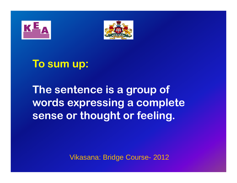![](_page_24_Picture_0.jpeg)

![](_page_24_Picture_1.jpeg)

# **To sum up:**

**The sentence is a group of words expressing a complete sense or thought or feeling.**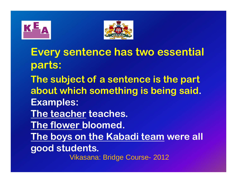![](_page_25_Picture_0.jpeg)

![](_page_25_Picture_1.jpeg)

**Every sentence has two essential parts: The subject of a sentence is the part about which something is being said. Examples: The teacher teaches. The flower bloomed. The boys on the Kabadi team were all good students.** Vikasana: Bridge Course- 2012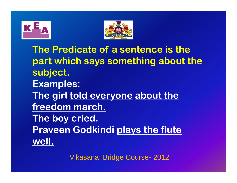![](_page_26_Figure_0.jpeg)

![](_page_26_Picture_1.jpeg)

**The Predicate of a sentence is the part which says something about the subject. Examples: The girl told everyone about the freedom march. The boy cried . Praveen Godkindi plays the flute well.**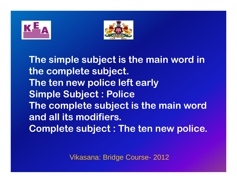![](_page_27_Picture_0.jpeg)

![](_page_27_Picture_1.jpeg)

The simple subject is the main word in **the complete subject. Th t li e ten new police l ft l left early Simple Subject : Police Th l t bj t i th i d e comple e subject s e main word and all its modifiers. C l t bj t Th t li Comple e subject : Th e ten new police.**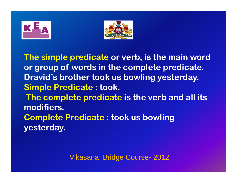![](_page_28_Picture_1.jpeg)

**The simple predicate or verb, is the main word or group of words in the complete predicate. Dravid s' brother took us bowling yesterday. Simple Predicate : took. The complete predicate is the verb and all its modifiers.Complete Predicate : took us bowling yesterday.**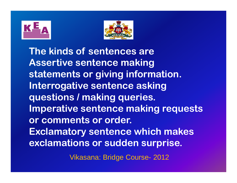![](_page_29_Picture_1.jpeg)

**The kinds of sentences areAssertive sentence making statements or giving information. Interrogative sentence asking questions / making queries. Imperative sentence making requests or comments or order. Exclamatory sentence which makes exclamations or sudden surprise.**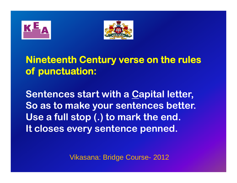![](_page_30_Figure_0.jpeg)

![](_page_30_Picture_1.jpeg)

#### **Nineteenth Century verse on the rules of punctuation:**

**Sentences start with a Capital letter, S t k t b tt o as o ma e your sen tences etter. Use a full stop (.) to mark the end. lt closes every sentence penned.**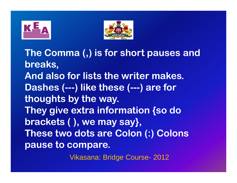![](_page_31_Picture_0.jpeg)

![](_page_31_Picture_1.jpeg)

**The Comma (,) p is for short pauses and breaks, And also for lists the writer makes. Dashes (---) like these (---) are for thoughts by the way. They give extra information {so do brackets ( ), y y}, ), we may say}, These two dots are Colon (:) Colons p p ause to compare.**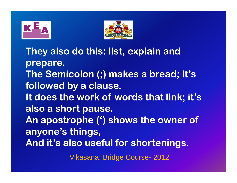![](_page_32_Picture_0.jpeg)

![](_page_32_Picture_1.jpeg)

**They also do this: list, explain and prepare. The Semicolon (;) makes a bread; it's followed by a clause. It does the work of words that link; it's also a short pause. An apostrophe (') shows the owner of anyone's things, And it's also useful for shortenings.** Vikasana: Bridge Course- 2012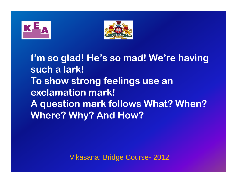![](_page_33_Picture_0.jpeg)

![](_page_33_Picture_1.jpeg)

**I'm so glad! He's so mad! We're having such a lark! To show strong feelings use an exclamation mark! A question mark follows What? When? Where? Why? And How?**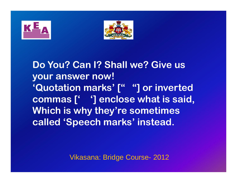![](_page_34_Picture_0.jpeg)

![](_page_34_Picture_1.jpeg)

**Do You? Can I? Shall we? Give us your answer now! 'Quotation marks' [" "] or inverted commas [] , ' ' ] enclose what is said Which is why they're sometimes called 'S peech marks' instead.**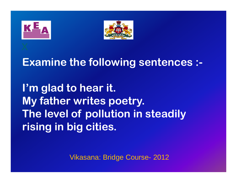![](_page_35_Figure_0.jpeg)

![](_page_35_Picture_1.jpeg)

## **Examine the following sentences :-**

**I'm glad to hear it. My father writes poetry. The level of pollution in steadily rising in big cities.**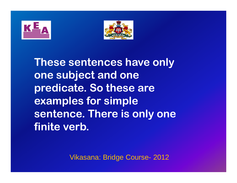



**These sentences have only one subject and one predicate. So these are examples for simple sentence. There is only one finite verb.**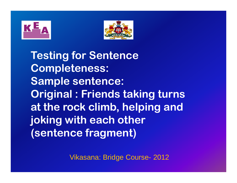



**Testing for Sentence Completeness: Sample sentence: Original : Friends taking turns at the rock climb, helping and joking with each other (sentence fragment)**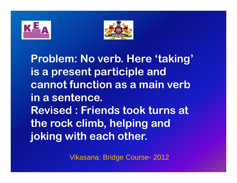



**Problem: No verb. Here 'taking' is a present participle and cannot function as a main verb in a sentence. Revised : Friends took turns at the rock climb, helping and joking with each other.**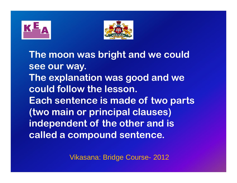



**The moon was bright and we could see our way. The explanation was good and we could follow the lesson. Each sentence is made of two parts (two main or principal clauses) independent of the other and is called a compound sentence.**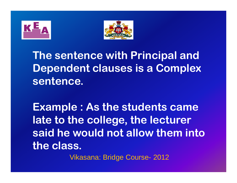



**The sentence with Principal and Dependent clauses is a Complex sentence.**

 $\blacksquare$  **Example : As the students came late to the college, the lecturer said he would not allow them into the class.**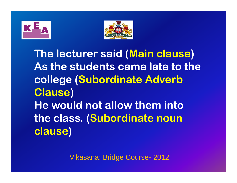



**The lecturer said (Main clause ) As the students came late to the college (Subordinate Adverb Clause ) He would not allow them into the class. (Subordinate noun clause )**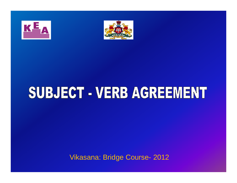



# SUBJECT - VERB AGREEMENT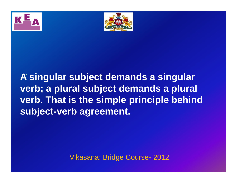



**A singular subject demands <sup>a</sup> singular** . **verb; a plural subject demands a plural verb. That is the simple principle behind subject-verb agreement.**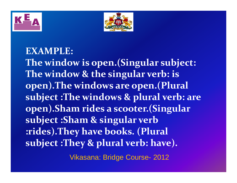



#### **EXAMPLE:**

**The window is open.(Singular subject: The window & the singular verb: is open).The windows are open.(Plural subject :The windows & plural verb: are open).Sham rides <sup>a</sup> scooter.(Singular subject :Sham & singular verb :rides).They have books. (Plural subject :They & <sup>p</sup>lural verb: have).**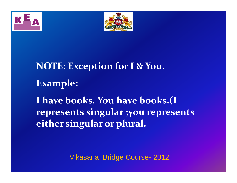



**NOTE: Exception for I & You. E l xamp e: I have books. You have books.(I represents singular ;you represents either singular or plural.**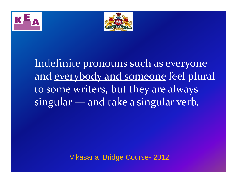



Indefinite pronouns such as <u>everyone</u> and <u>everybody and someone</u> feel plural to some writers, but they are always singular — and take <sup>a</sup> singular verb.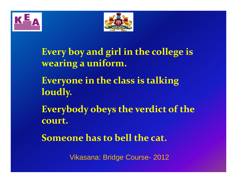



**Every boy and girl in the college is wearing <sup>a</sup> uniform. Everyone in the class is talking loudly. Everybody obeys the verdict of the court. Someone has to bell the cat.**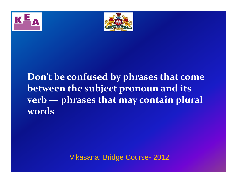



#### **Don t' be confused by phrases that come between the subject pronoun and its ve br — p ases hr <sup>t</sup> at h may co ta <sup>n</sup> in pua l <sup>r</sup> l words**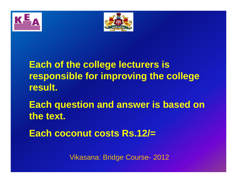



**Each of the college lecturers is res p pg g onsible for im provin g the colle ge result.**

**Each q estion and ans er is based on uestion wer the text.**

**Each coconut costs Rs.12/=**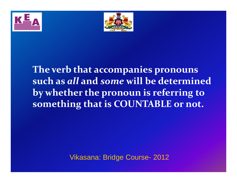



**The verb that accompanies pronouns such as** *all* **and** *some* **will be determined by whether the pronoun is referring to something that is COUNTABLE or not.**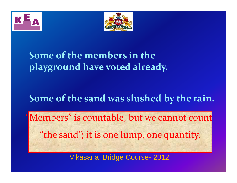



#### **Some of the members in the playground have voted already.**

#### **Some of the sand was slushed by the rain.**

Members" is countable, but we cannot count "the sand"; it is one lump, one quantity.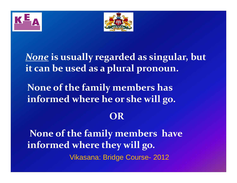



*None* **is usually regarded as singular singular, but it can be used as <sup>a</sup> plural pronoun.**

**None of the family members has informed where he or she will go.**

#### **OR**

**None of the family members have informed where they will go.** Vikasana: Bridge Course- 2012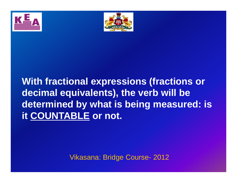



## **With fractional expressions (fractions or decimal equivalents), the verb will be determined by what is being measured: is is it COUNTABLE or not.**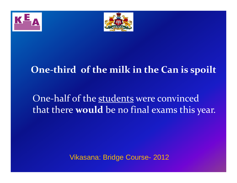



#### **One‐third of the milk in the Can is spoilt**

## One‐half of the students were convinced that there **would** be no final exams this year.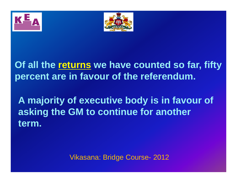



**Of all the returns we have counted so far, fifty percent are in favour of the referendum.**

**A majority of executive body is in favour of asking the GM to continue for another term.**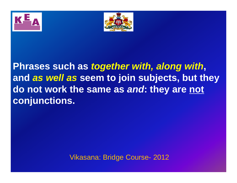



**Phrases such as** *together with, along with***, and** *as well as* **seem to join subjects, but they subjects, do not work the same as** *and***: they are not conjunctions.**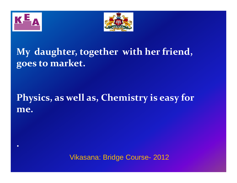

**.**



## **My daughter, together with her friend, goes to market.**

#### **Physics, as well as, Chemistry is easy for me.**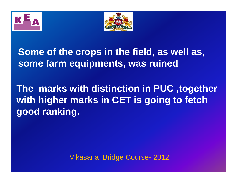



#### **Some of the crops in the field, as well as, some farm equipments, was ruined**

## **The marks with distinction in PUC ,together with higher marks in CET is going to fetch good ranking.**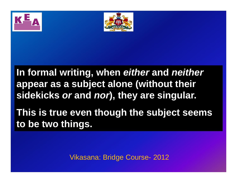



**In formal writing, when** *either* **and** *neither* **appear as a subject alone (without their sidekicks** *or* **and** *nor***), they are singular.** 

**This is true even though the subject seems to be two things .**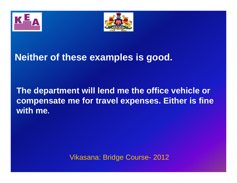



#### **Neither of these examples is good good.**

#### **The department will lend me the office vehicle or compensate me for travel expenses. Either is fine is with me.**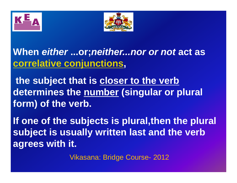



## **When** *either* **...or;***neither...nor or not* **act as correlative conjunctions,**

**the subject that is closer to the verb closer determines the number (singular or plural form) of the verb verb.**

**If one of the subjects is plural,then the plural subject is usually written last and the verb agrees with it.**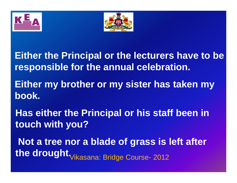



**Either the Principal or the lecturers have to be responsible for the annual celebration.**

**Either my brother or my sister has taken my book.**

**Has either the Principal or his staff been in touch with you you?**

**Not a tree nor a blade of grass is left after**  the drought. Vikasana: Bridge Course- 2012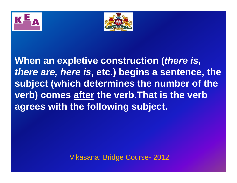



**When an expletive construction (***there is, there are, here is***, etc.) begins a sentence, the subject (which determines the number of the verb) comes after the verb.That is the verb agrees wi h h f ll i bj ith the following subject.**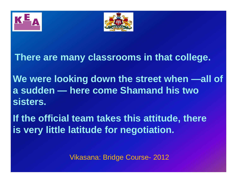



#### **There are many classrooms in that college college.**

**We were looking down the street when street —all of a sudden — here come Shamand his two sisters.**

**If the official team takes this attitude, there is very little latitude for negotiation.**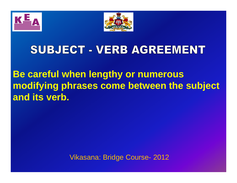



## SUBJECT - VERB AGREEMENT

**Be careful when lengthy or numerous modifying phrases come between the subject and its verb.**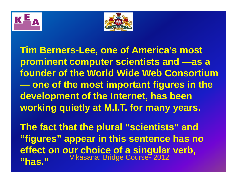



**Tim Berners-Lee, one of America's most prominent computer scientists and —as a founder of the World Wide Web Consortium one of the most important figures in the development of the Internet, has been working quietly at M.I.T. for many years.**

**The fact that the plural "scientists" and "figures" appear in this sentence has no effect on our choice of <sup>a</sup> singular verb choice verb, "has."**Vikasana: Bridge Course- <sup>2012</sup>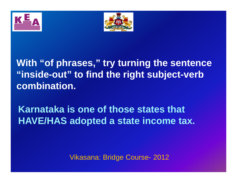



## **With "of phrases," try turning the sentence "inside-out" to find the right subject-verb combination.**

## **Karnataka is one of those states that HAVE/HAS adopted a state income tax.**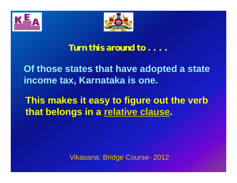



#### *Turn this around to . . .* **.**

**Of those states that have adopted a state income tax Karnataka is one tax, .**

**This makes it easy to figure out the verb verb that belongs in a relative clause .**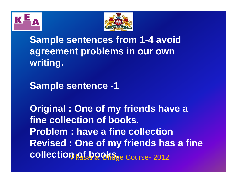



**Sample sentences from 1-4 avoid agreement problems in our own writing.**

**Sample sentence -1**

**Original : One of my friends have a fine collection of books. Problem : have a fine collectionRevised : One of my friends has a fine**  collection **of books.** Course- 2012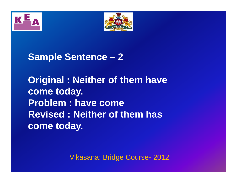



**Sample Sentence 2**

**Original : Neither of them have come today. Problem : have come** the contract of the contract of the contract of the contract of the contract of the contract of the contract of **Revised : Neither of them has come today .**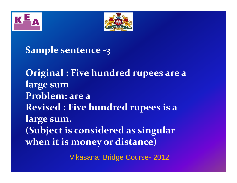

**Sample sentence ‐3**

**Original : Five hundred rupees are <sup>a</sup> large sum Problem: are a Revised : Five hundred rupees is <sup>a</sup> large sum. (Subject is considered as singular when it is money or distance)**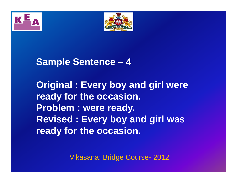



## **Sample Sentence 4**

**Original : Every boy and girl were ready for the occasion. Problem : were ready. Revised : Every boy and girl was ready for the occasion.**

Vikasana: Bridge Course- 2012